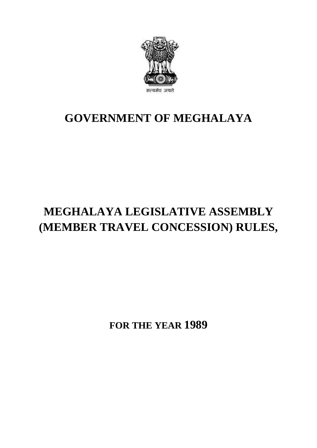

## **GOVERNMENT OF MEGHALAYA**

## **MEGHALAYA LEGISLATIVE ASSEMBLY (MEMBER TRAVEL CONCESSION) RULES,**

**FOR THE YEAR 1989**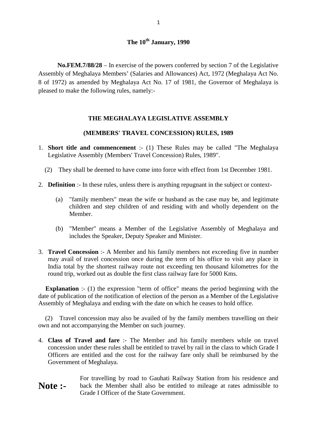**No.FEM.7/88/28** – In exercise of the powers conferred by section 7 of the Legislative Assembly of Meghalaya Members' (Salaries and Allowances) Act, 1972 (Meghalaya Act No. 8 of 1972) as amended by Meghalaya Act No. 17 of 1981, the Governor of Meghalaya is **No.FEM.7/88/28** – In exercise of the power<br>Assembly of Meghalaya Members' (Salaries and Al<br>8 of 1972) as amended by Meghalaya Act No. 17<br>pleased to make the following rules, namely:-

## **THE MEGHALAYA LEGISLATIVE ASSEMBLY**

## **(MEMBERS' TRAVEL CONCESSION) RULES, 1989**

- 1. **Short title and commencement** :- (1) These Rules may be called "The Meghalaya<br>Legislative Assembly (Members' Travel Concession) Rules, 1989". Legislative Assembly (Members' Travel Concession) Rules, 1989". (MEMBERS' TRAVEL CONCESSION) RULES, 1989<br>
Short title and commencement :- (1) These Rules may be called "The Meghalaya<br>
Legislative Assembly (Members' Travel Concession) Rules, 1989".<br>
(2) They shall be deemed to have come
	-
- 2. **Definition** :- In these rules, unless there is anything repugnant in the subject or context-<br>(a) "family members" mean the wife or husband as the case may be, and legitimate
- They shall be deemed to have come into force with effect from 1st December 1981.<br> **finition** :- In these rules, unless there is anything repugnant in the subject or context-<br>
(a) "family members" mean the wife or husband a Member.
	- (b) "Member" means a Member of the Legislative Assembly of Meghalaya and includes the Speaker, Deputy Speaker and Minister.
- 3. **Travel Concession** :- A Member and his family members not exceeding five in number may avail of travel concession once during the term of his office to visit any place in India total by the shortest railway route not exceeding ten thousand kilometres for the includes the Speaker, Deputy Speaker and Minister.<br> **Travel Concession** :- A Member and his family members not exceeding five<br>
may avail of travel concession once during the term of his office to visit a<br>
India total by th **Explanation** :- A Member and his family members not exceeding five in number<br>may avail of travel concession once during the term of his office to visit any place in<br>India total by the shortest railway route not exceeding

Assembly of Meghalaya and ending with the date on which he ceases to hold office. Explanation :- (1) the expression "term of office" means the period beginning with the te of publication of the notification of election of the person as a Member of the Legislative sembly of Meghalaya and ending with the

own and not accompanying the Member on such journey. 4. **Class of Travel and fare** :- The Member and his family members while on travel<br>4. **Class of Travel and fare** :- The Member and his family members while on travel

- concession under these rules shall be entitled to travel by rail in the class to which Grade I Officers are entitled and the cost for the railway fare only shall be reimbursed by the Government of Meghalaya.
- For travelling by road to Gauhati Railway Station from his residence and **Note :-** back the Member shall also be entitled to mileage at rates admissible to Grade I Officer of the State Government.